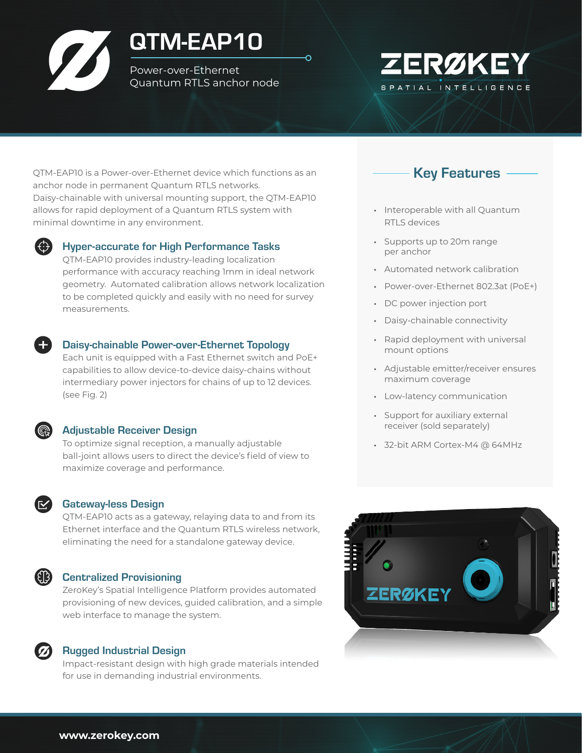# QTM-EAP10

Power-over-Ethernet Quantum RTLS anchor node



QTM-EAP10 is a Power-over-Ethernet device which functions as an anchor node in permanent Quantum RTLS networks. Daisy-chainable with universal mounting support, the QTM-EAP10 allows for rapid deployment of a Quantum RTLS system with minimal downtime in any environment.



#### Hyper-accurate for High Performance Tasks

QTM-EAP10 provides industry-leading localization performance with accuracy reaching 1mm in ideal network geometry. Automated calibration allows network localization to be completed quickly and easily with no need for survey measurements.



#### Daisy-chainable Power-over-Ethernet Topology

Each unit is equipped with a Fast Ethernet switch and PoE+ capabilities to allow device-to-device daisy-chains without intermediary power injectors for chains of up to 12 devices. (see Fig. 2)



#### Adjustable Receiver Design

To optimize signal reception, a manually adjustable ball-joint allows users to direct the device's field of view to maximize coverage and performance.

#### Gateway-less Design

QTM-EAP10 acts as a gateway, relaying data to and from its Ethernet interface and the Quantum RTLS wireless network, eliminating the need for a standalone gateway device.

#### Centralized Provisioning

ZeroKey's Spatial Intelligence Platform provides automated provisioning of new devices, guided calibration, and a simple web interface to manage the system.

#### Rugged Industrial Design

Impact-resistant design with high grade materials intended for use in demanding industrial environments.



- Interoperable with all Quantum RTLS devices
- Supports up to 20m range per anchor
- Automated network calibration
- Power-over-Ethernet 802.3at (PoE+)
- DC power injection port
- Daisy-chainable connectivity
- Rapid deployment with universal mount options
- Adjustable emitter/receiver ensures maximum coverage
- Low-latency communication
- Support for auxiliary external receiver (sold separately)
- 32-bit ARM Cortex-M4 @ 64MHz